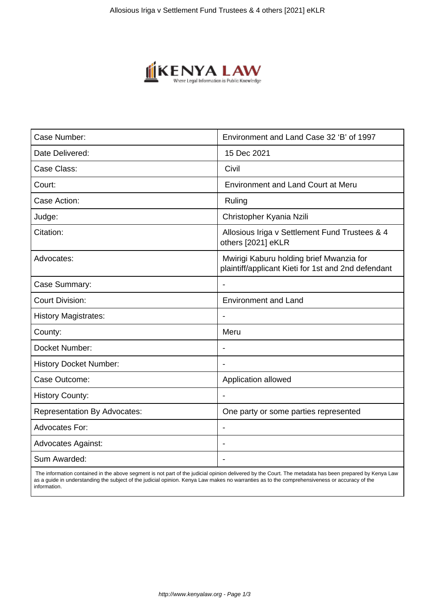

| Case Number:                        | Environment and Land Case 32 'B' of 1997                                                        |
|-------------------------------------|-------------------------------------------------------------------------------------------------|
| Date Delivered:                     | 15 Dec 2021                                                                                     |
| Case Class:                         | Civil                                                                                           |
| Court:                              | <b>Environment and Land Court at Meru</b>                                                       |
| Case Action:                        | Ruling                                                                                          |
| Judge:                              | Christopher Kyania Nzili                                                                        |
| Citation:                           | Allosious Iriga v Settlement Fund Trustees & 4<br>others [2021] eKLR                            |
| Advocates:                          | Mwirigi Kaburu holding brief Mwanzia for<br>plaintiff/applicant Kieti for 1st and 2nd defendant |
| Case Summary:                       | $\overline{\phantom{a}}$                                                                        |
| <b>Court Division:</b>              | <b>Environment and Land</b>                                                                     |
| <b>History Magistrates:</b>         |                                                                                                 |
| County:                             | Meru                                                                                            |
| Docket Number:                      | $\blacksquare$                                                                                  |
| <b>History Docket Number:</b>       |                                                                                                 |
| Case Outcome:                       | Application allowed                                                                             |
| <b>History County:</b>              |                                                                                                 |
| <b>Representation By Advocates:</b> | One party or some parties represented                                                           |
| Advocates For:                      | $\overline{\phantom{a}}$                                                                        |
| <b>Advocates Against:</b>           |                                                                                                 |
| Sum Awarded:                        | $\blacksquare$                                                                                  |

 The information contained in the above segment is not part of the judicial opinion delivered by the Court. The metadata has been prepared by Kenya Law as a guide in understanding the subject of the judicial opinion. Kenya Law makes no warranties as to the comprehensiveness or accuracy of the information.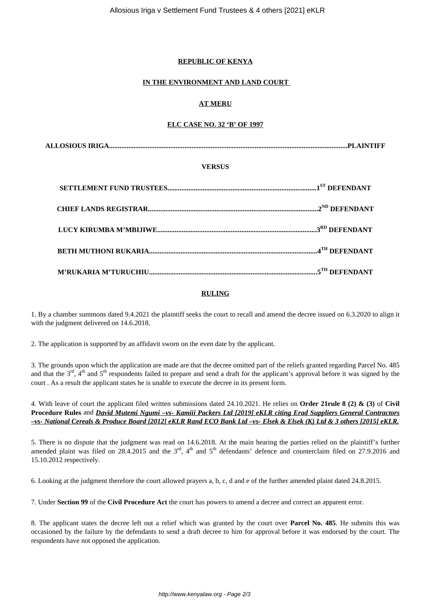## **REPUBLIC OF KENYA**

#### **IN THE ENVIRONMENT AND LAND COURT**

## **AT MERU**

## **ELC CASE NO. 32 'B' OF 1997**

#### **VERSUS**

#### **RULING**

1. By a chamber summons dated 9.4.2021 the plaintiff seeks the court to recall and amend the decree issued on 6.3.2020 to align it with the judgment delivered on 14.6.2018.

2. The application is supported by an affidavit sworn on the even date by the applicant.

3. The grounds upon which the application are made are that the decree omitted part of the reliefs granted regarding Parcel No. 485 and that the 3<sup>rd</sup>, 4<sup>th</sup> and 5<sup>th</sup> respondents failed to prepare and send a draft for the applicant's approval before it was signed by the court . As a result the applicant states he is unable to execute the decree in its present form.

4. With leave of court the applicant filed written submissions dated 24.10.2021. He relies on **Order 21rule 8 (2) & (3)** of **Civil Procedure Rules** and *David Mutemi Ngumi –vs- Kamiii Packers Ltd [2019] eKLR citing Erad Suppliers General Contractors –vs- National Cereals & Produce Board [2012] eKLR Rand ECO Bank Ltd –vs- Elsek & Elsek (K) Ltd & 3 others [2015] eKLR.*

5. There is no dispute that the judgment was read on 14.6.2018. At the main hearing the parties relied on the plaintiff's further amended plaint was filed on 28.4.2015 and the  $3<sup>rd</sup>$ ,  $4<sup>th</sup>$  and  $5<sup>th</sup>$  defendants' defence and counterclaim filed on 27.9.2016 and 15.10.2012 respectively.

6. Looking at the judgment therefore the court allowed prayers a, b, c, d and e of the further amended plaint dated 24.8.2015.

7. Under **Section 99** of the **Civil Procedure Act** the court has powers to amend a decree and correct an apparent error.

8. The applicant states the decree left out a relief which was granted by the court over **Parcel No. 485**. He submits this was occasioned by the failure by the defendants to send a draft decree to him for approval before it was endorsed by the court. The respondents have not opposed the application.